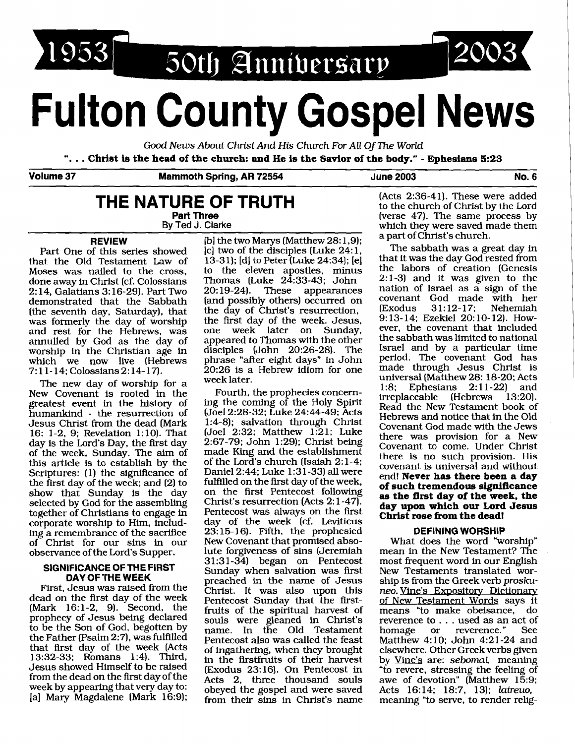1953 50th Anniversary

# **Fulton County Gospel News**

Good News About Christ And His Church For All Of The World ". . . **Christ is the head of the church: and He is the Savior of the body."** - **Ephesians 5:23** 

**Volume 37 Mammoth Spring, AR 72554 June 2003 No. 6** 

# **THE NATURE OF TRUTH Part Three**

**Bv Ted J. Clarke** 

## **REVIEW**

Part One of this series showed that the Old Testament Law of Moses was nailed to the cross, done away in Christ (cf. Colossians 2: 14, Galatians 3: 16-29). Part Two demonstrated that the Sabbath [the seventh day, Saturday), that was formerly the day of worship and rest for the Hebrews, was annulled by God as the day of worship in the Christian age in which we now live (Hebrews 7:11-14; Colossians 2:14-17).

The new day of worship for a New Covenant is rooted in the greatest event in the history of humankind - the resurrection of Jesus Christ from the dead (Mark 16: 1-2, 9; Revelation 1:lO). That day is the Lord's Day, the first day of the week, Sunday. The aim of this article is to establish by the Scriptures: (1) the significance of the first day of the week; and (2) to show that Sunday is the day selected by God for the assembling together of Christians to engage in corporate worship to Him, including a remembrance of the sacrifice of Christ for our sins in our observance of the Lord's Supper.

#### **SIGNIFICANCE OF THE FIRST DAY OF'THE WEEK**

First, Jesus was raised from the dead on the first day of the week (Mark 16:l-2, 9). Second, the prophecy of Jesus being declared to be the Son of God, begotten by the Father (Psalm 2:7), was fulfilled that first day of the week (Acts 13:32-33; Romans 1:4). Third, Jesus showed Himself to be raised from the dead on the first day of the week by appearing that very day to: [a] Mary Magdalene [Mark 16:9); Ib] the two Marys (Matthew 28: 1,9); [c] two of the disciples (Luke 24:1, 13-3 1); [dl to Peter (Luke 24334); [el to the eleven apostles, minus Thomas (Luke 24:33-43; John<br>20:19-24). These appearances These appearances [and possibly others) occurred on the day of Christ's resurrection, the first day of the week. Jesus,<br>one week later on Sunday. week later on appeared to Thomas with the other disciples (John 20:26-28). The phrase "after eight days" in John 20:26 is a Hebrew idiom for one week later.

Fourth, the prophecies concerning the coming of the Holy Spirit (Joel 2:28-32; Luke 24:44-49; Acts 1:4-8); salvation through Christ (Joel 2:32; Matthew 1:21; Luke 2:67-79; John 1:29); Christ being made King and the establishment of the Lord's church (Isaiah 2: 1-4; Daniel 2:44; Luke 1 :3 1-33) **all** were fulfilled on the first day of the week, on the first Pentecost following Christ's resurrection (Acts 2: 1-47). Pentecost was always on the first day of the week (cf. Leviticus 23: 15- 16). Fifth, the prophesied New Covenant that promised absolute forgiveness of sins (Jeremiah 3 1 :3 1-34) began on Pentecost Sunday when salvation was first preached in the name of Jesus Christ. It was also upon this Pentecost Sunday that the firstfruits of the spiritual harvest of souls were gleaned in Christ's name. In the Old Testament Pentecost also was called the feast of ingathering, when they brought in the firstfruits of their harvest (Exodus 23: 16). On Pentecost in Acts 2, three thousand souls obeyed the gospel and were saved from their sins in Christ's name

(Acts 2:36-41). These were added to the church of Christ by the Lord (verse 47). The same process by which they were saved made them a part of Christ's church.

2003

The sabbath was a great day in that it was the day God rested from the labors of creation (Genesis 2:l-3) and it was given to the nation of Israel as a sign of the covenant God made with her  $Exodus$   $31:12-17$ ; Nehemiah 9: 13- 14; Ezekiel 20: 10- 12). However, the covenant that included the sabbath was limited to national Israel and by a particular time period. The covenant God has made through Jesus Christ is universal (Matthew 28: 18-20; Acts<br>1:8: Ephesians 2:11-22) and Ephesians 2:11-22) and<br>iceable (Hebrews 13:20). irreplaceable (Hebrews Read the New Testament book of Hebrews and notice that in the Old Covenant God made with the Jews there was provision for a New Covenant to come. Under Christ there is no such provision. His covenant is universal and without end! **Never has there been a day of such tremendous significance as the first day of the week, the day upon which our Lord Jesus Christ rose from the dead!**  9:13-14; Ezekiel 20:10-12). How-<br>ever, the covenant that included<br>the sabbath was limited to national<br>forecal. The covenant God has<br>made through Jesus Christ is<br>miversal (Matthew 28: 18-20; Acts<br>informate God has<br>made thr

## **DEFINING WORSHIP**

What does the word "worship" mean in the New Testament? The most frequent word in our English New Testaments translated worship is from the Greek verb proskuneo. Vine's Expository Dictionary of New Testament Words says it means "to make obeisance, do reverence to . . . used as an act of<br>homage or reverence." See reverence." Matthew 4:10; John 4:21-24 and elsewhere. Other Greek verbs given by Vine's are: sebomai, meaning "to revere, stressing the feeling of awe of devotion" (Matthew 15:9; Acts 16:14; 18:7, 13); latreuo, meaning "to serve, to render relig-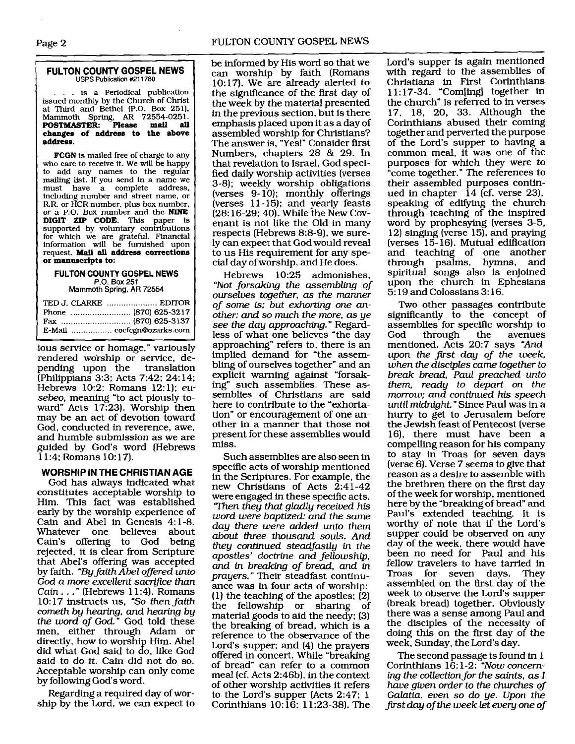#### **FULTON COUNTY GOSPEL NEWS USPS Publication #211780**

.. is a Periodical publication issued monthiy by the Church of Christ at Third and Bethel (P.O. Box **251).**  Mammoth Spring, **AR 72554-0251. POSTMASTER: Please mail all changes of address to the above address.** 

**FCGN** is mailed free of charge to any who care to receive it. We will be happy to add any names to the regular mailing list. If you send in a name we<br>must have a complete address. have a complete address, including number and street name, or<br>R.R. or HCR number, plus box number, R.R. or HCR number, plus box number. or a P.O. Box number and the **NINE DIGIT ZIP CODE. This** paper is supported by voluntary contributions for which we are grateful. Financial information will be furnished upon request. Mail **all address corrections or manuscripts to:** 

## **FULTON COUNTY GOSPEL NEWS P.O. Box** 251

Mammoth **Spring,** AR 72554

| E-Mail  cocfcgn@ozarks.com |  |
|----------------------------|--|

**d**  ious service or homage," variously rendered worship or service, depending upon the translation pending upon the (Philippians 3:3; Acts 7:42; 24:14; Hebrews 10:2; Romans 12:1); *eusebeo,* meaning "to act piously toward" Acts 17:23). Worship then may be an act of devotion toward God, conducted in reverence, awe, and humble submission as we are guided by God's word (Hebrews 11:4; Romans 10:17).

## **WORSHIP IN THE CHRISTIAN AGE**

God has always indicated what constitutes acceptable worship to Him. This fact was established early by the worship experience of Cain and Abel in Genesis 4:1-8.<br>Whatever one believes about Whatever Cain's offering to God being rejected, it is clear from Scripture that Abel's offering was accepted by faith. *"By faith Abel offered unto God a more excellent sacn\_fice than Cain ...*" (Hebrews 11:4). Romans 10: 17 instructs us, *"So then faith corneth by hearing, and* hearing *by the word of God."* God told these men, either through Adam or directly, how to worship Him. Abel did what God said to do, like God said to do it. Cain did not do so. Acceptable worship can only come by following God's word.

Regarding a required day of worship by the Lord, we can expect to be informed by His word so that we can worship by faith (Romans 10: 17). We are already alerted to the significance of the first day of the week by the material presented in the previous section, but is there emphasis placed upon it as a day of assembled worship for Christians? The answer is, "Yes!" Consider first Numbers, chapters 28 & 29. In that revelation to Israel, God specified daily worship activities (verses 3-8) ; weekly worship obligations (verses 9- 10); monthly offerings (verses 11-15); and yearly feasts (28: 16-29; 40). While the New Covenant is not like the Old in many respects (Hebrews 8:8-9), we surely can expect that God would reveal to us His requirement for any special day ofworship, and He does.

Hebrews 10:25 admonishes, *"Not forsaking the assembling of ourselves together, as the manner of some* **is;** *but exhorting one* **an***othec and so much the more, as ye see the day approaching."* Regardless of what one believes "the day approaching" refers to, there is an implied demand for "the assembling of ourselves together" and an explicit warning against "forsaking" such assemblies. These assemblies of Christians are said here to contribute to the "exhortation" or encouragement of one another in a manner that those not present for these assemblies would miss.

Such assemblies are also seen in specific acts of worship mentioned in the Scriptures. For example, the new Christians of Acts  $2:41-42$ were engaged in these specific acts. *'mn they that gladly received his word were baptized: and the same day there were added unto them about three thousand souls. And they continued steadfastly* in *the apostles' doctrine and fellowship, and in breaking of bread, and* in *prayers.* " Their steadfast continuance was in four acts of worship: (1) the teaching of the apostles; (2) the fellowship or sharing of material goods to aid the needy; (3) the breaking of bread, which is a reference to the observance of the Lord's supper; and (4) the prayers offered in concert. While "breaking of bread" can refer to a common meal (cf. Acts 2:46b), in the context of other worship activities it refers to the Lord's supper (Acts 2:47; 1 Corinthians 10: 16: 1 1:23-38). The

Lord's supper is again mentioned with regard to the assemblies of Christians in First Corinthians 1 1 : 17-34. "Com[ing] together in the church" is referred to in verses 17, 18, 20, 33. Although the Corinthians abused their coming together and perverted the purpose of the Lord's supper to having a common meal, it was one of the purposes for which they were to come together." The references to their assembled purposes continued in chapter  $14$  (cf. verse 23), speaking of edifying the church through teaching of the inspired word by prophesying (verses 3-5, 12) singing (verse 15), and praying (verses 15- 16). Mutual edification and teaching of one another through psalms, hymns, and spiritual songs also is enjoined upon the church in Ephesians 5: 19 and Colossians 3: 16.

Two other passages contribute significantly to the concept of assemblies for specific worship to<br>God through the avenues through mentioned. Acts 20:7 says *"And upon the first day of the week, when the disciples came together to break bread, Paul preached unto them, ready to depart on the morrow: and continued his speech*  until *midnight.* " Since Paul was in a hurry to get to Jerusalem before the Jewish feast of Pentecost (verse 16). there must have been a compelling reason for his company to stay in Troas for seven days (verse 6). Verse 7 seems to give that reason as a desire to assemble with the brethren there on the first day of the week for worship, mentioned here by the "breaking of bread" and Paul's extended teaching. It is worthy of note that if the Lord's supper could be observed on any day of the week, there would have been no need for Paul and his fellow travelers to have tarried in Troas for seven days. They assembled on the first day of the week to observe the Lord's supper (break bread) together. Obviously there was a sense among Paul and the disciples of the necessity of doing this on the first day of the week, Sunday, the Lord's day.

The second passage Is found in 1 Corinthians 16: 1-2: *"Now concerning the collection for the saints, as I have given order to the churches of Galatia, even so do ye. Upon the Brst day ofthe week let every one of*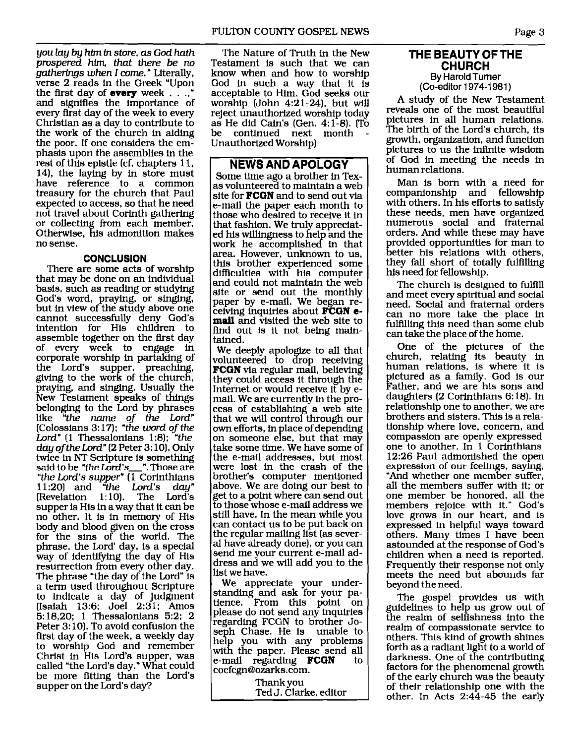*you lay by hlrn* **fn** *store, as God hath prospered him, that there be no gathertrgs when I come.* " Literally, verse 2 reads in the Greek "Upon the first day of **every** week  $\ldots$ and signifies the importance of every first day of the week to every Christian as a day to contribute to the work of the church in aiding the poor. If one considers the emphasis upon the assemblies in the rest of this epistle (cf. chapters 1 1, 14), the laying by in store must have reference to a common treasury for the church that Paul expected to access, so that he need not travel about Corinth gathering or collecting from each member. or collecting from each member.<br>Otherwise, his admonition make<mark>s</mark> no sense.

## **CONCLUSION**

There are some acts of worship that may be done on an individual basis, such as reading or studying God's word, praying, or singing, but in view of the study above one cannot successfully deny God's intention for His children to assemble together on the first day of every week to engage in corporate worship in partaking of the Lord's supper, preaching, giving to the work of the church, praying, and singing. Usually the New Testament speaks of things belonging to the Lord by phrases New Testament speaks of things<br>belonging to the Lord by phrases<br>like *"the name of the Lord"*<br>(Colossians 3:17): *"the word of the* (Colossians 3: 17); *"the word of the Lord"* (1 Thessalonians 1:8); *"the day of the Lord"* (2 Peter 3: lo). Only twice in **NT** Scripture is something said to be "the Lord's\_". Those are *"the Lord's supper"* (1 Corinthians 11:20) and *"the Lord's day"*   $[Revelation 1:10]$ . The Lord's supper is His in a way that it can be no other. It is in memory of His body and blood given on the cross for the sins of the world. The phrase, the Lord' day, is a special way of identifying the day of His resurrection from every other day. The phrase "the day of the Lord" is a term used throughout Scripture to indicate a day of judgment (Isaiah 13:6; Joel 2:31; Amos 5:18,20; 1 Thessalonians 5:2; 2 Peter 3: 10). To avoid confusion the first day of the week, a weekly day to worship God and remember Christ in His Lord's supper, was called "the Lord's day." What could be more fitting than the Lord's supper on the Lord's day?

The Nature of Truth in the New Testament is such that we can know when and how to worship God in such a way that it is acceptable to Him. God seeks our worship (John 4:21-24), but will reject unauthorized worship today as He did Cain's (Gen. 4:l-8). **l.To**  be continued next month Unauthorized Worship)

# **NEWS AND APOLOGY**

Some time ago a brother in Texas volunteered to maintain a web site for **FCGN** and to send out via e-mail the paper each month to those who desired to receive it in that fashion. We truly appreciated his willingness to help and the work he accomplished in that area. However, unknown to us, this brother experienced some<br>difficulties with his computer and could not maintain the web site or send out the monthly paper by e-mail. We began receiving inquiries about **FCGN** email and visited the web site to find out is it not being maintained.

We deeply apologize to all that volunteered to drop receiving **FCGN** via regular mail, believing they could access it through the Internet or would receive it by email. We are currently in the process of establishing a web site that we will control through our own efforts, in place of depending on someone else, but that may take some time. We have some of the e-mail addresses, but most were lost in the crash of the brother's computer mentioned above. We are doing our best to get to a point where can send out to those whose e-mail address we still have. In the mean while you can contact us to be put back on the regular mailing list (as several have already done), or you can send me your current e-mail address and we will add you to the list we have.

We appreciate your understanding and ask for your pa- tience. From this point on please do not send any inquiries regarding FCGN to brother Joseph Chase. He is unable to help you with any problems with the paper. Please send all<br>e-mail regarding **FCGN** to e-mail regarding **FCGN** cocfcgn@ozarks.com.

Thank you

Ted J. Clarke, editor

# **THE BEAUTY OF THE CHURCH By** Harold Turner

(Co-editor 1 974-1 981 ) A study of the New Testament reveals one of the most beautiful pictures in all human relations. The birth of the Lord's church, its growth, organization, and function pictures to us the infinite wisdom of God in meeting the needs in human relations.

Man is born with a need for companionship and fellowship with others. In his efforts to satisfy these needs, men have organized numerous social and fraternal orders. And while these may have provided opportunities for man to better his relations with others, they fall short of totally fulfilling his need for fellowship.

The church is designed to fulfill and meet every spiritual and social need. Social and fraternal orders can no more take the place in fulfilling this need than some club can take the place of the home.

One of the pictures of the church, relating its beauty in human relations, is where it is pictured as a family. God is our Father, and we are his sons and daughters (2 Corinthians 6: 18). In relationship one to another, we are brothers and sisters. This is a relationship where love, concern, and compassion are openly expressed one to another. In 1 Corinthians<br>12:26 Paul admonished the open expression of our feelings, saying, "And whether one member suffer, all the members suffer with it; or one member be honored, all the members rejoice with it." God's love grows in our heart, and is expressed in helpful ways toward others. Many times I have been astounded at the response of God's children when a need is reported. Frequently their response not only meets the need but abounds far beyond the need.

The gospel provides us with guidelines to help us grow out of the realm of selfishness into the realm of compassionate service to others. This kind of growth shines forth as a radiant light to a world of darkness. One of the contributing<br>factors for the phenomenal growth of the early church was the beauty of their relationship one with the other. In Acts 2:44-45 the early